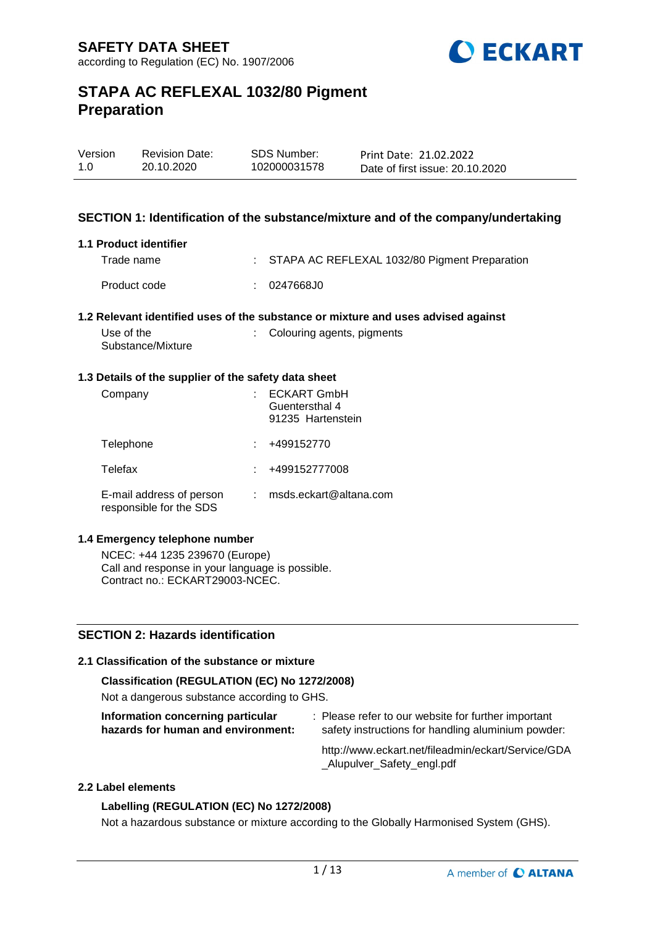

| Version | <b>Revision Date:</b> | SDS Number:  | Print Date: 21.02.2022          |
|---------|-----------------------|--------------|---------------------------------|
| 1.0     | 20.10.2020            | 102000031578 | Date of first issue: 20.10.2020 |

### **SECTION 1: Identification of the substance/mixture and of the company/undertaking**

#### **1.1 Product identifier**

| Trade name   | : STAPA AC REFLEXAL 1032/80 Pigment Preparation |
|--------------|-------------------------------------------------|
| Product code | : 0247668J0                                     |

#### **1.2 Relevant identified uses of the substance or mixture and uses advised against**

| Use of the        | : Colouring agents, pigments |
|-------------------|------------------------------|
| Substance/Mixture |                              |

#### **1.3 Details of the supplier of the safety data sheet**

| Company                                             | <b>ECKART GmbH</b><br>Guentersthal 4<br>91235 Hartenstein |
|-----------------------------------------------------|-----------------------------------------------------------|
| Telephone                                           | +499152770                                                |
| Telefax                                             | +499152777008                                             |
| E-mail address of person<br>responsible for the SDS | msds.eckart@altana.com                                    |

#### **1.4 Emergency telephone number**

NCEC: +44 1235 239670 (Europe) Call and response in your language is possible. Contract no.: ECKART29003-NCEC.

### **SECTION 2: Hazards identification**

# **2.1 Classification of the substance or mixture**

# **Classification (REGULATION (EC) No 1272/2008)**

Not a dangerous substance according to GHS.

| Information concerning particular |                                    |
|-----------------------------------|------------------------------------|
|                                   | hazards for human and environment: |

: Please refer to our website for further important safety instructions for handling aluminium powder:

http://www.eckart.net/fileadmin/eckart/Service/GDA \_Alupulver\_Safety\_engl.pdf

#### **2.2 Label elements**

#### **Labelling (REGULATION (EC) No 1272/2008)**

Not a hazardous substance or mixture according to the Globally Harmonised System (GHS).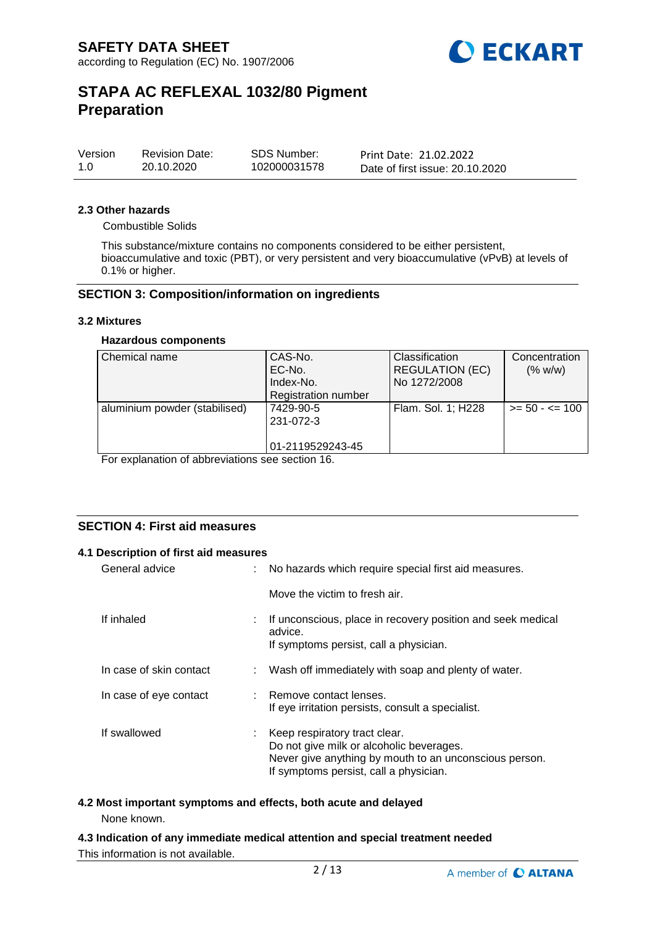

| Version | <b>Revision Date:</b> | SDS Number:  | Print Date: 21.02.2022          |
|---------|-----------------------|--------------|---------------------------------|
| 1.0     | 20.10.2020            | 102000031578 | Date of first issue: 20.10.2020 |

#### **2.3 Other hazards**

Combustible Solids

This substance/mixture contains no components considered to be either persistent, bioaccumulative and toxic (PBT), or very persistent and very bioaccumulative (vPvB) at levels of 0.1% or higher.

#### **SECTION 3: Composition/information on ingredients**

#### **3.2 Mixtures**

#### **Hazardous components**

| Chemical name                 | CAS-No.<br>EC-No.<br>Index-No.<br><b>Registration number</b> | Classification<br><b>REGULATION (EC)</b><br>No 1272/2008 | Concentration<br>(% w/w) |
|-------------------------------|--------------------------------------------------------------|----------------------------------------------------------|--------------------------|
| aluminium powder (stabilised) | 7429-90-5<br>231-072-3<br>01-2119529243-45                   | Flam. Sol. 1; H228                                       | $>= 50 - 5 = 100$        |

For explanation of abbreviations see section 16.

# **SECTION 4: First aid measures**

#### **4.1 Description of first aid measures**

| General advice          |    | No hazards which require special first aid measures.                                                                                                                          |
|-------------------------|----|-------------------------------------------------------------------------------------------------------------------------------------------------------------------------------|
|                         |    | Move the victim to fresh air.                                                                                                                                                 |
| If inhaled              | t. | If unconscious, place in recovery position and seek medical<br>advice.<br>If symptoms persist, call a physician.                                                              |
| In case of skin contact |    | : Wash off immediately with soap and plenty of water.                                                                                                                         |
| In case of eye contact  |    | : Remove contact lenses.<br>If eye irritation persists, consult a specialist.                                                                                                 |
| If swallowed            | ÷. | Keep respiratory tract clear.<br>Do not give milk or alcoholic beverages.<br>Never give anything by mouth to an unconscious person.<br>If symptoms persist, call a physician. |

# **4.2 Most important symptoms and effects, both acute and delayed**

None known.

**4.3 Indication of any immediate medical attention and special treatment needed** This information is not available.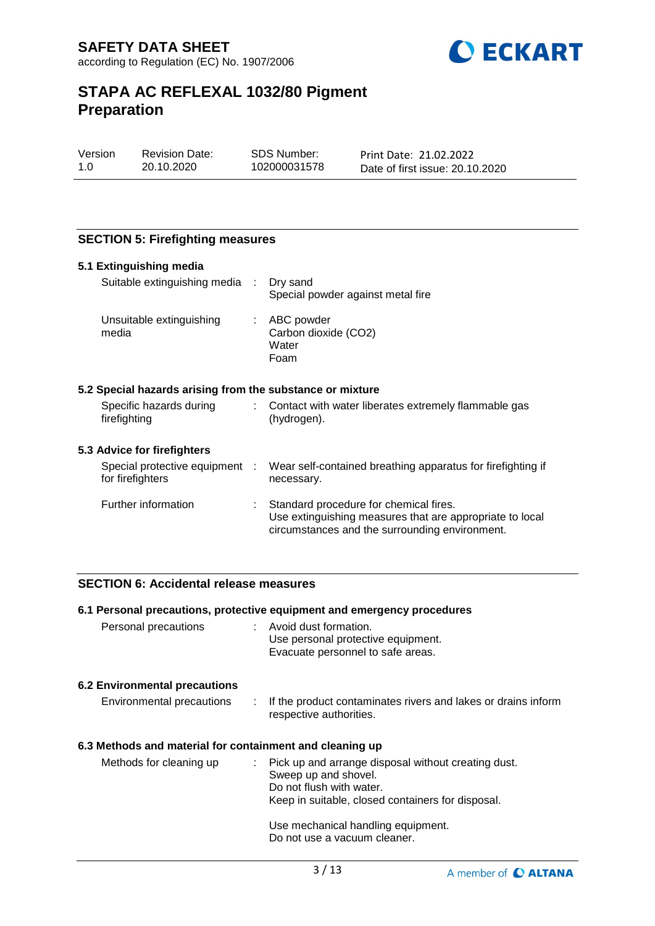

| Version | Revisio |
|---------|---------|
| 1.0     | 20.10.  |

on Date: 2020

SDS Number: 102000031578

Print Date: 21.02.2022 Date of first issue: 20.10.2020

# **SECTION 5: Firefighting measures**

| 5.1 Extinguishing media                 |                                |                                                                                                                                                      |
|-----------------------------------------|--------------------------------|------------------------------------------------------------------------------------------------------------------------------------------------------|
|                                         | Suitable extinguishing media : | Dry sand<br>Special powder against metal fire                                                                                                        |
| Unsuitable extinguishing<br>media       |                                | $\therefore$ ABC powder<br>Carbon dioxide (CO2)<br>Water<br>Foam                                                                                     |
|                                         |                                | 5.2 Special hazards arising from the substance or mixture                                                                                            |
| Specific hazards during<br>firefighting |                                | Contact with water liberates extremely flammable gas<br>(hydrogen).                                                                                  |
| 5.3 Advice for firefighters             |                                |                                                                                                                                                      |
| for firefighters                        | Special protective equipment : | Wear self-contained breathing apparatus for firefighting if<br>necessary.                                                                            |
| Further information                     |                                | Standard procedure for chemical fires.<br>Use extinguishing measures that are appropriate to local<br>circumstances and the surrounding environment. |

# **SECTION 6: Accidental release measures**

|                                                          | 6.1 Personal precautions, protective equipment and emergency procedures                                                                                        |
|----------------------------------------------------------|----------------------------------------------------------------------------------------------------------------------------------------------------------------|
| Personal precautions                                     | : Avoid dust formation.<br>Use personal protective equipment.<br>Evacuate personnel to safe areas.                                                             |
| <b>6.2 Environmental precautions</b>                     |                                                                                                                                                                |
| Environmental precautions                                | If the product contaminates rivers and lakes or drains inform<br>respective authorities.                                                                       |
| 6.3 Methods and material for containment and cleaning up |                                                                                                                                                                |
| Methods for cleaning up                                  | : Pick up and arrange disposal without creating dust.<br>Sweep up and shovel.<br>Do not flush with water.<br>Keep in suitable, closed containers for disposal. |
|                                                          | Use mechanical handling equipment.<br>Do not use a vacuum cleaner.                                                                                             |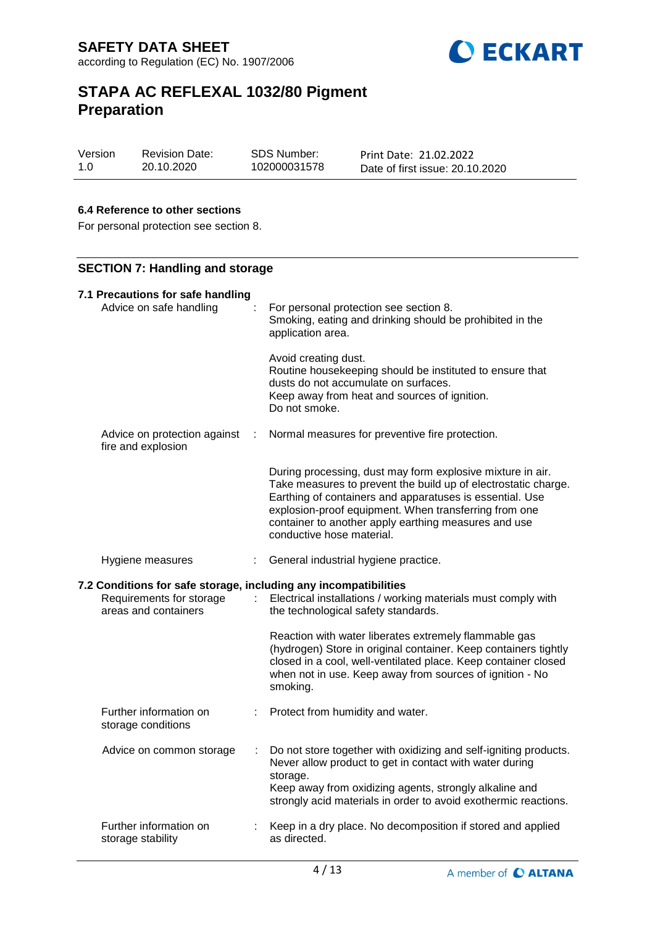

| Version | <b>Revision Date:</b> | SDS Number:  | Print Date: 21.02.2022          |
|---------|-----------------------|--------------|---------------------------------|
| 1.0     | 20.10.2020            | 102000031578 | Date of first issue: 20.10.2020 |

### **6.4 Reference to other sections**

For personal protection see section 8.

# **SECTION 7: Handling and storage**

| 7.1 Precautions for safe handling |                                                                                                                      |   |                                                                                                                                                                                                                                                                                                                                        |  |
|-----------------------------------|----------------------------------------------------------------------------------------------------------------------|---|----------------------------------------------------------------------------------------------------------------------------------------------------------------------------------------------------------------------------------------------------------------------------------------------------------------------------------------|--|
|                                   | Advice on safe handling                                                                                              |   | For personal protection see section 8.<br>Smoking, eating and drinking should be prohibited in the<br>application area.                                                                                                                                                                                                                |  |
|                                   |                                                                                                                      |   | Avoid creating dust.<br>Routine housekeeping should be instituted to ensure that<br>dusts do not accumulate on surfaces.<br>Keep away from heat and sources of ignition.<br>Do not smoke.                                                                                                                                              |  |
|                                   | Advice on protection against<br>fire and explosion                                                                   | ÷ | Normal measures for preventive fire protection.                                                                                                                                                                                                                                                                                        |  |
|                                   |                                                                                                                      |   | During processing, dust may form explosive mixture in air.<br>Take measures to prevent the build up of electrostatic charge.<br>Earthing of containers and apparatuses is essential. Use<br>explosion-proof equipment. When transferring from one<br>container to another apply earthing measures and use<br>conductive hose material. |  |
|                                   |                                                                                                                      |   | General industrial hygiene practice.                                                                                                                                                                                                                                                                                                   |  |
|                                   | Hygiene measures                                                                                                     |   |                                                                                                                                                                                                                                                                                                                                        |  |
|                                   | 7.2 Conditions for safe storage, including any incompatibilities<br>Requirements for storage<br>areas and containers |   | Electrical installations / working materials must comply with<br>the technological safety standards.                                                                                                                                                                                                                                   |  |
|                                   |                                                                                                                      |   | Reaction with water liberates extremely flammable gas<br>(hydrogen) Store in original container. Keep containers tightly<br>closed in a cool, well-ventilated place. Keep container closed<br>when not in use. Keep away from sources of ignition - No<br>smoking.                                                                     |  |
|                                   | Further information on<br>storage conditions                                                                         |   | Protect from humidity and water.                                                                                                                                                                                                                                                                                                       |  |
|                                   | Advice on common storage                                                                                             |   | Do not store together with oxidizing and self-igniting products.<br>Never allow product to get in contact with water during<br>storage.<br>Keep away from oxidizing agents, strongly alkaline and<br>strongly acid materials in order to avoid exothermic reactions.                                                                   |  |
|                                   | Further information on<br>storage stability                                                                          |   | Keep in a dry place. No decomposition if stored and applied<br>as directed.                                                                                                                                                                                                                                                            |  |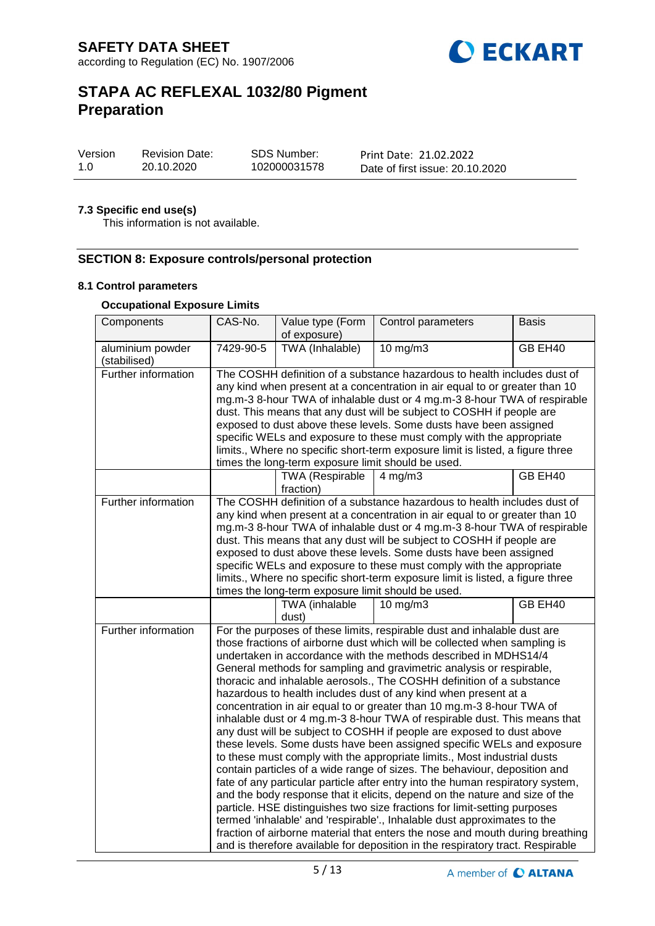

| Version | <b>Revision Date:</b> | <b>SDS Number:</b> | Print Date: 21.02.2022          |
|---------|-----------------------|--------------------|---------------------------------|
| 1.0     | 20.10.2020            | 102000031578       | Date of first issue: 20.10.2020 |

### **7.3 Specific end use(s)**

This information is not available.

# **SECTION 8: Exposure controls/personal protection**

### **8.1 Control parameters**

### **Occupational Exposure Limits**

| Components                       | CAS-No.   | Value type (Form<br>of exposure)                   | Control parameters                                                                                                                                                                                                                                                                                                                                                                                                                                                                                                                                                                                                                                                                                                                                                                                                                                                                                                                                                                                                                                                                                                                                                                                                                                                                                                                                                                                          | <b>Basis</b> |
|----------------------------------|-----------|----------------------------------------------------|-------------------------------------------------------------------------------------------------------------------------------------------------------------------------------------------------------------------------------------------------------------------------------------------------------------------------------------------------------------------------------------------------------------------------------------------------------------------------------------------------------------------------------------------------------------------------------------------------------------------------------------------------------------------------------------------------------------------------------------------------------------------------------------------------------------------------------------------------------------------------------------------------------------------------------------------------------------------------------------------------------------------------------------------------------------------------------------------------------------------------------------------------------------------------------------------------------------------------------------------------------------------------------------------------------------------------------------------------------------------------------------------------------------|--------------|
| aluminium powder<br>(stabilised) | 7429-90-5 | TWA (Inhalable)                                    | $10$ mg/m $3$                                                                                                                                                                                                                                                                                                                                                                                                                                                                                                                                                                                                                                                                                                                                                                                                                                                                                                                                                                                                                                                                                                                                                                                                                                                                                                                                                                                               | GB EH40      |
| Further information              |           | times the long-term exposure limit should be used. | The COSHH definition of a substance hazardous to health includes dust of<br>any kind when present at a concentration in air equal to or greater than 10<br>mg.m-3 8-hour TWA of inhalable dust or 4 mg.m-3 8-hour TWA of respirable<br>dust. This means that any dust will be subject to COSHH if people are<br>exposed to dust above these levels. Some dusts have been assigned<br>specific WELs and exposure to these must comply with the appropriate<br>limits., Where no specific short-term exposure limit is listed, a figure three                                                                                                                                                                                                                                                                                                                                                                                                                                                                                                                                                                                                                                                                                                                                                                                                                                                                 |              |
|                                  |           | <b>TWA (Respirable</b><br>fraction)                | $4$ mg/m $3$                                                                                                                                                                                                                                                                                                                                                                                                                                                                                                                                                                                                                                                                                                                                                                                                                                                                                                                                                                                                                                                                                                                                                                                                                                                                                                                                                                                                | GB EH40      |
| Further information              |           | times the long-term exposure limit should be used. | The COSHH definition of a substance hazardous to health includes dust of<br>any kind when present at a concentration in air equal to or greater than 10<br>mg.m-3 8-hour TWA of inhalable dust or 4 mg.m-3 8-hour TWA of respirable<br>dust. This means that any dust will be subject to COSHH if people are<br>exposed to dust above these levels. Some dusts have been assigned<br>specific WELs and exposure to these must comply with the appropriate<br>limits., Where no specific short-term exposure limit is listed, a figure three                                                                                                                                                                                                                                                                                                                                                                                                                                                                                                                                                                                                                                                                                                                                                                                                                                                                 |              |
|                                  |           | TWA (inhalable<br>dust)                            | $10 \text{ mg/m}$                                                                                                                                                                                                                                                                                                                                                                                                                                                                                                                                                                                                                                                                                                                                                                                                                                                                                                                                                                                                                                                                                                                                                                                                                                                                                                                                                                                           | GB EH40      |
| Further information              |           |                                                    | For the purposes of these limits, respirable dust and inhalable dust are<br>those fractions of airborne dust which will be collected when sampling is<br>undertaken in accordance with the methods described in MDHS14/4<br>General methods for sampling and gravimetric analysis or respirable,<br>thoracic and inhalable aerosols., The COSHH definition of a substance<br>hazardous to health includes dust of any kind when present at a<br>concentration in air equal to or greater than 10 mg.m-3 8-hour TWA of<br>inhalable dust or 4 mg.m-3 8-hour TWA of respirable dust. This means that<br>any dust will be subject to COSHH if people are exposed to dust above<br>these levels. Some dusts have been assigned specific WELs and exposure<br>to these must comply with the appropriate limits., Most industrial dusts<br>contain particles of a wide range of sizes. The behaviour, deposition and<br>fate of any particular particle after entry into the human respiratory system,<br>and the body response that it elicits, depend on the nature and size of the<br>particle. HSE distinguishes two size fractions for limit-setting purposes<br>termed 'inhalable' and 'respirable'., Inhalable dust approximates to the<br>fraction of airborne material that enters the nose and mouth during breathing<br>and is therefore available for deposition in the respiratory tract. Respirable |              |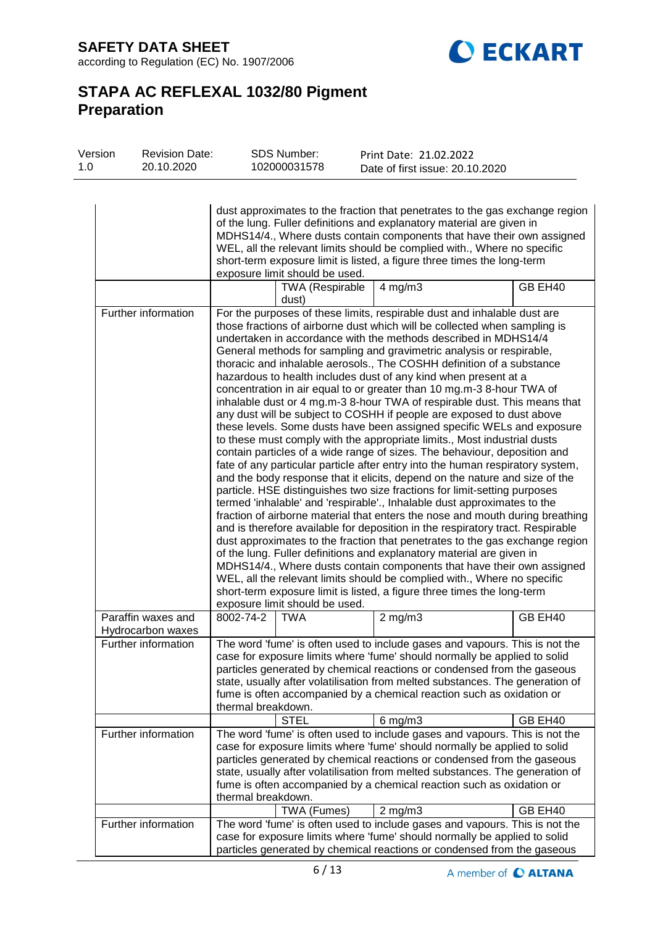**SAFETY DATA SHEET** according to Regulation (EC) No. 1907/2006



# **STAPA AC REFLEXAL 1032/80 Pigment Preparation**

| 1.0 | Version | <b>Revision Date:</b><br>20.10.2020       |                    | <b>SDS Number:</b><br>102000031578 | Print Date: 21.02.2022<br>Date of first issue: 20.10.2020                                                                                                                                                                                                                                                                                                                                                                                                                                                                                                                                                                                                                                                                                                                                                                                                                                                                                                                                                                                                                                                                                                                                                                                                                                                                                                                                                                                                                                                                                                                                                                                                                                                                                                                                             |                    |
|-----|---------|-------------------------------------------|--------------------|------------------------------------|-------------------------------------------------------------------------------------------------------------------------------------------------------------------------------------------------------------------------------------------------------------------------------------------------------------------------------------------------------------------------------------------------------------------------------------------------------------------------------------------------------------------------------------------------------------------------------------------------------------------------------------------------------------------------------------------------------------------------------------------------------------------------------------------------------------------------------------------------------------------------------------------------------------------------------------------------------------------------------------------------------------------------------------------------------------------------------------------------------------------------------------------------------------------------------------------------------------------------------------------------------------------------------------------------------------------------------------------------------------------------------------------------------------------------------------------------------------------------------------------------------------------------------------------------------------------------------------------------------------------------------------------------------------------------------------------------------------------------------------------------------------------------------------------------------|--------------------|
|     |         |                                           |                    | exposure limit should be used.     | dust approximates to the fraction that penetrates to the gas exchange region<br>of the lung. Fuller definitions and explanatory material are given in<br>MDHS14/4., Where dusts contain components that have their own assigned<br>WEL, all the relevant limits should be complied with., Where no specific<br>short-term exposure limit is listed, a figure three times the long-term                                                                                                                                                                                                                                                                                                                                                                                                                                                                                                                                                                                                                                                                                                                                                                                                                                                                                                                                                                                                                                                                                                                                                                                                                                                                                                                                                                                                                |                    |
|     |         |                                           |                    | <b>TWA</b> (Respirable<br>dust)    | $4$ mg/m $3$                                                                                                                                                                                                                                                                                                                                                                                                                                                                                                                                                                                                                                                                                                                                                                                                                                                                                                                                                                                                                                                                                                                                                                                                                                                                                                                                                                                                                                                                                                                                                                                                                                                                                                                                                                                          | GB EH40            |
|     |         | Further information                       |                    | exposure limit should be used.     | For the purposes of these limits, respirable dust and inhalable dust are<br>those fractions of airborne dust which will be collected when sampling is<br>undertaken in accordance with the methods described in MDHS14/4<br>General methods for sampling and gravimetric analysis or respirable,<br>thoracic and inhalable aerosols., The COSHH definition of a substance<br>hazardous to health includes dust of any kind when present at a<br>concentration in air equal to or greater than 10 mg.m-3 8-hour TWA of<br>inhalable dust or 4 mg.m-3 8-hour TWA of respirable dust. This means that<br>any dust will be subject to COSHH if people are exposed to dust above<br>these levels. Some dusts have been assigned specific WELs and exposure<br>to these must comply with the appropriate limits., Most industrial dusts<br>contain particles of a wide range of sizes. The behaviour, deposition and<br>fate of any particular particle after entry into the human respiratory system,<br>and the body response that it elicits, depend on the nature and size of the<br>particle. HSE distinguishes two size fractions for limit-setting purposes<br>termed 'inhalable' and 'respirable'., Inhalable dust approximates to the<br>fraction of airborne material that enters the nose and mouth during breathing<br>and is therefore available for deposition in the respiratory tract. Respirable<br>dust approximates to the fraction that penetrates to the gas exchange region<br>of the lung. Fuller definitions and explanatory material are given in<br>MDHS14/4., Where dusts contain components that have their own assigned<br>WEL, all the relevant limits should be complied with., Where no specific<br>short-term exposure limit is listed, a figure three times the long-term |                    |
|     |         | Hydrocarbon waxes                         | 8002-74-2          | <b>TWA</b>                         | $2$ mg/m $3$                                                                                                                                                                                                                                                                                                                                                                                                                                                                                                                                                                                                                                                                                                                                                                                                                                                                                                                                                                                                                                                                                                                                                                                                                                                                                                                                                                                                                                                                                                                                                                                                                                                                                                                                                                                          | GB EH40            |
|     |         | Further information                       | thermal breakdown. |                                    | The word 'fume' is often used to include gases and vapours. This is not the<br>case for exposure limits where 'fume' should normally be applied to solid<br>particles generated by chemical reactions or condensed from the gaseous<br>state, usually after volatilisation from melted substances. The generation of<br>fume is often accompanied by a chemical reaction such as oxidation or                                                                                                                                                                                                                                                                                                                                                                                                                                                                                                                                                                                                                                                                                                                                                                                                                                                                                                                                                                                                                                                                                                                                                                                                                                                                                                                                                                                                         |                    |
|     |         |                                           |                    |                                    |                                                                                                                                                                                                                                                                                                                                                                                                                                                                                                                                                                                                                                                                                                                                                                                                                                                                                                                                                                                                                                                                                                                                                                                                                                                                                                                                                                                                                                                                                                                                                                                                                                                                                                                                                                                                       |                    |
|     |         |                                           | thermal breakdown. |                                    | case for exposure limits where 'fume' should normally be applied to solid<br>particles generated by chemical reactions or condensed from the gaseous<br>state, usually after volatilisation from melted substances. The generation of<br>fume is often accompanied by a chemical reaction such as oxidation or                                                                                                                                                                                                                                                                                                                                                                                                                                                                                                                                                                                                                                                                                                                                                                                                                                                                                                                                                                                                                                                                                                                                                                                                                                                                                                                                                                                                                                                                                        |                    |
|     |         | Further information                       |                    |                                    | The word 'fume' is often used to include gases and vapours. This is not the<br>case for exposure limits where 'fume' should normally be applied to solid                                                                                                                                                                                                                                                                                                                                                                                                                                                                                                                                                                                                                                                                                                                                                                                                                                                                                                                                                                                                                                                                                                                                                                                                                                                                                                                                                                                                                                                                                                                                                                                                                                              |                    |
|     |         | Paraffin waxes and<br>Further information |                    | <b>STEL</b><br>TWA (Fumes)         | $6$ mg/m $3$<br>The word 'fume' is often used to include gases and vapours. This is not the<br>$2$ mg/m $3$<br>particles generated by chemical reactions or condensed from the gaseous                                                                                                                                                                                                                                                                                                                                                                                                                                                                                                                                                                                                                                                                                                                                                                                                                                                                                                                                                                                                                                                                                                                                                                                                                                                                                                                                                                                                                                                                                                                                                                                                                | GB EH40<br>GB EH40 |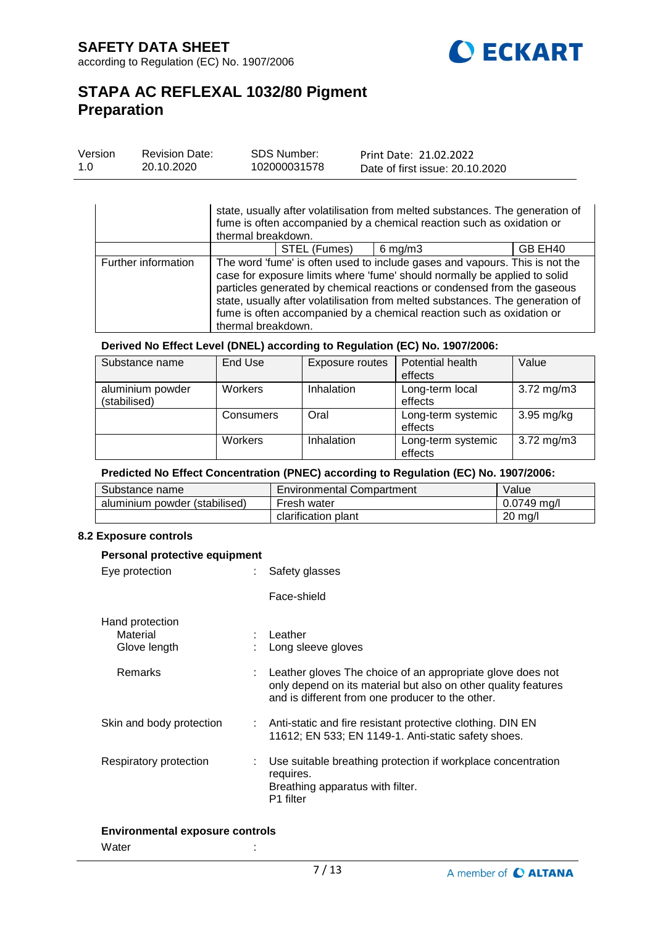

| Version | <b>Revision Date:</b> | <b>SDS Number:</b> | Print Date: 21.02.2022          |
|---------|-----------------------|--------------------|---------------------------------|
| 1.0     | 20.10.2020            | 102000031578       | Date of first issue: 20.10.2020 |

|                     | state, usually after volatilisation from melted substances. The generation of<br>fume is often accompanied by a chemical reaction such as oxidation or<br>thermal breakdown. |              |                                                                                                                                                                                                                                                                                                                                                                                               |                     |
|---------------------|------------------------------------------------------------------------------------------------------------------------------------------------------------------------------|--------------|-----------------------------------------------------------------------------------------------------------------------------------------------------------------------------------------------------------------------------------------------------------------------------------------------------------------------------------------------------------------------------------------------|---------------------|
|                     |                                                                                                                                                                              | STEL (Fumes) | $6$ mg/m $3$                                                                                                                                                                                                                                                                                                                                                                                  | GB EH <sub>40</sub> |
| Further information | thermal breakdown.                                                                                                                                                           |              | The word 'fume' is often used to include gases and vapours. This is not the<br>case for exposure limits where 'fume' should normally be applied to solid<br>particles generated by chemical reactions or condensed from the gaseous<br>state, usually after volatilisation from melted substances. The generation of<br>fume is often accompanied by a chemical reaction such as oxidation or |                     |

#### **Derived No Effect Level (DNEL) according to Regulation (EC) No. 1907/2006:**

| Substance name   | End Use   | Exposure routes | Potential health   | Value                   |
|------------------|-----------|-----------------|--------------------|-------------------------|
|                  |           |                 | effects            |                         |
| aluminium powder | Workers   | Inhalation      | Long-term local    | 3.72 $mg/m3$            |
| (stabilised)     |           |                 | effects            |                         |
|                  | Consumers | Oral            | Long-term systemic | $3.95 \text{ mg/kg}$    |
|                  |           |                 | effects            |                         |
|                  | Workers   | Inhalation      | Long-term systemic | $3.72 \,\mathrm{mg/m3}$ |
|                  |           |                 | effects            |                         |

#### **Predicted No Effect Concentration (PNEC) according to Regulation (EC) No. 1907/2006:**

| Substance name                | Environmental Compartment | Value             |
|-------------------------------|---------------------------|-------------------|
| aluminium powder (stabilised) | Fresh water               | 0.0749 ma/l       |
|                               | clarification plant       | $20 \text{ mg/l}$ |

### **8.2 Exposure controls**

| Personal protective equipment                                                                                                                                                      |  |  |  |  |
|------------------------------------------------------------------------------------------------------------------------------------------------------------------------------------|--|--|--|--|
| Safety glasses                                                                                                                                                                     |  |  |  |  |
| Face-shield                                                                                                                                                                        |  |  |  |  |
| : Leather<br>: Long sleeve gloves                                                                                                                                                  |  |  |  |  |
| : Leather gloves The choice of an appropriate glove does not<br>only depend on its material but also on other quality features<br>and is different from one producer to the other. |  |  |  |  |
| : Anti-static and fire resistant protective clothing. DIN EN<br>11612; EN 533; EN 1149-1. Anti-static safety shoes.                                                                |  |  |  |  |
| Use suitable breathing protection if workplace concentration<br>requires.<br>Breathing apparatus with filter.<br>P1 filter                                                         |  |  |  |  |
|                                                                                                                                                                                    |  |  |  |  |

#### **Environmental exposure controls**

Water : the state of the state of the state  $\mathbf{r}$ :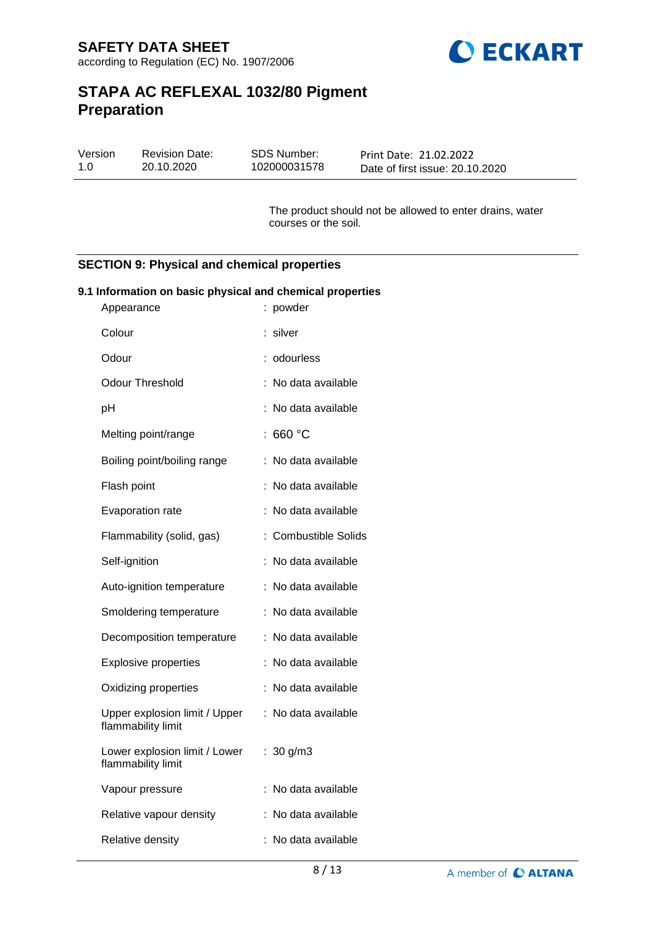

| Version | <b>Revision Date:</b> | SDS Number:  | Print Date: 21.02.2022          |
|---------|-----------------------|--------------|---------------------------------|
| 1.0     | 20.10.2020            | 102000031578 | Date of first issue: 20.10.2020 |

The product should not be allowed to enter drains, water courses or the soil.

### **SECTION 9: Physical and chemical properties**

#### **9.1 Information on basic physical and chemical properties**

| Appearance                                          | powder                    |
|-----------------------------------------------------|---------------------------|
| Colour                                              | silver                    |
| Odour                                               | odourless                 |
| Odour Threshold                                     | No data available         |
| pH                                                  | No data available         |
| Melting point/range                                 | 660 °C                    |
| Boiling point/boiling range                         | No data available         |
| Flash point                                         | No data available         |
| Evaporation rate                                    | No data available         |
| Flammability (solid, gas)                           | <b>Combustible Solids</b> |
| Self-ignition                                       | No data available         |
| Auto-ignition temperature                           | No data available         |
| Smoldering temperature                              | No data available         |
| Decomposition temperature                           | No data available         |
| <b>Explosive properties</b>                         | No data available<br>t    |
| Oxidizing properties                                | No data available         |
| Upper explosion limit / Upper<br>flammability limit | No data available<br>÷    |
| Lower explosion limit / Lower<br>flammability limit | 30 g/m3<br>t.             |
| Vapour pressure                                     | No data available         |
| Relative vapour density                             | No data available         |
| Relative density                                    | No data available         |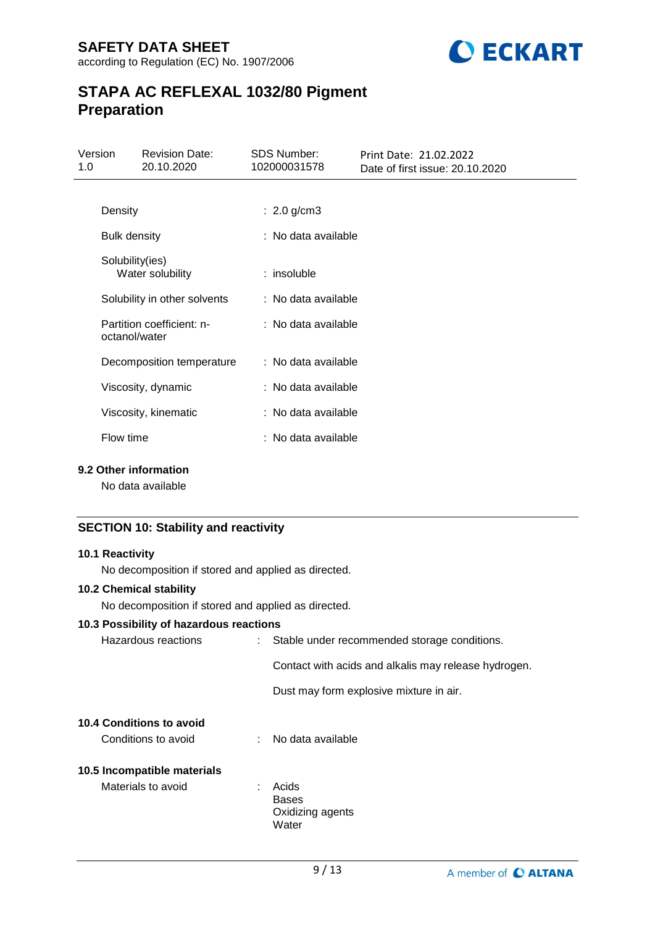

| Version<br>1.0 | <b>Revision Date:</b><br>20.10.2020        | <b>SDS Number:</b><br>102000031578 | Print Date: 21.02.2022<br>Date of first issue: 20.10.2020 |
|----------------|--------------------------------------------|------------------------------------|-----------------------------------------------------------|
|                |                                            |                                    |                                                           |
|                | Density                                    | : $2.0$ g/cm3                      |                                                           |
|                | <b>Bulk density</b>                        | : No data available                |                                                           |
|                | Solubility(ies)<br>Water solubility        | : insoluble                        |                                                           |
|                | Solubility in other solvents               | : No data available                |                                                           |
|                | Partition coefficient: n-<br>octanol/water | : No data available                |                                                           |
|                | Decomposition temperature                  | : No data available                |                                                           |
|                | Viscosity, dynamic                         | : No data available                |                                                           |
|                | Viscosity, kinematic                       | : No data available                |                                                           |
|                | Flow time                                  | : No data available                |                                                           |

#### **9.2 Other information**

No data available

# **SECTION 10: Stability and reactivity**

### **10.1 Reactivity**

No decomposition if stored and applied as directed.

### **10.2 Chemical stability**

No decomposition if stored and applied as directed.

#### **10.3 Possibility of hazardous reactions**

| Hazardous reactions             | : Stable under recommended storage conditions. |                                                      |  |
|---------------------------------|------------------------------------------------|------------------------------------------------------|--|
|                                 |                                                | Contact with acids and alkalis may release hydrogen. |  |
|                                 |                                                | Dust may form explosive mixture in air.              |  |
| <b>10.4 Conditions to avoid</b> |                                                |                                                      |  |
| Conditions to avoid             |                                                | No data available                                    |  |
| 10.5 Incompatible materials     |                                                |                                                      |  |
| Materials to avoid              | ÷                                              | Acids                                                |  |
|                                 |                                                | <b>Bases</b>                                         |  |
|                                 |                                                | Oxidizing agents                                     |  |
|                                 |                                                | Water                                                |  |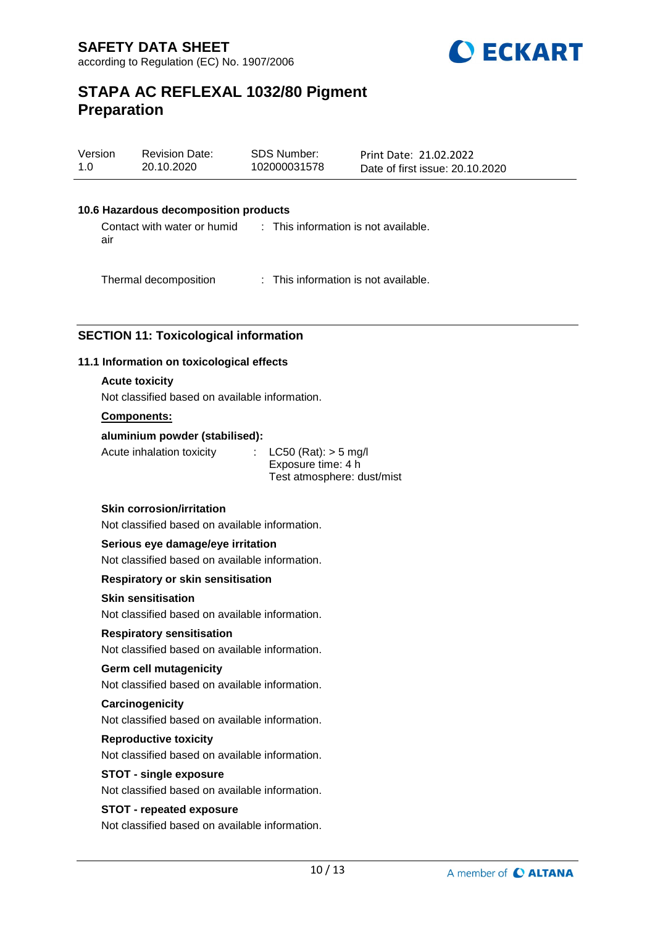

| Version | <b>Revision Date:</b> | SDS Number:  | Print Date: 21.02.2022          |
|---------|-----------------------|--------------|---------------------------------|
| 1.0     | 20.10.2020            | 102000031578 | Date of first issue: 20.10.2020 |

#### **10.6 Hazardous decomposition products**

Contact with water or humid air : This information is not available.

Thermal decomposition : This information is not available.

# **SECTION 11: Toxicological information**

#### **11.1 Information on toxicological effects**

#### **Acute toxicity**

Not classified based on available information.

#### **Components:**

#### **aluminium powder (stabilised):**

Acute inhalation toxicity : LC50 (Rat): > 5 mg/l

Exposure time: 4 h Test atmosphere: dust/mist

#### **Skin corrosion/irritation**

Not classified based on available information.

#### **Serious eye damage/eye irritation**

Not classified based on available information.

#### **Respiratory or skin sensitisation**

### **Skin sensitisation**

Not classified based on available information.

# **Respiratory sensitisation**

Not classified based on available information.

#### **Germ cell mutagenicity**

Not classified based on available information.

#### **Carcinogenicity**

Not classified based on available information.

#### **Reproductive toxicity**

Not classified based on available information.

#### **STOT - single exposure**

Not classified based on available information.

#### **STOT - repeated exposure**

Not classified based on available information.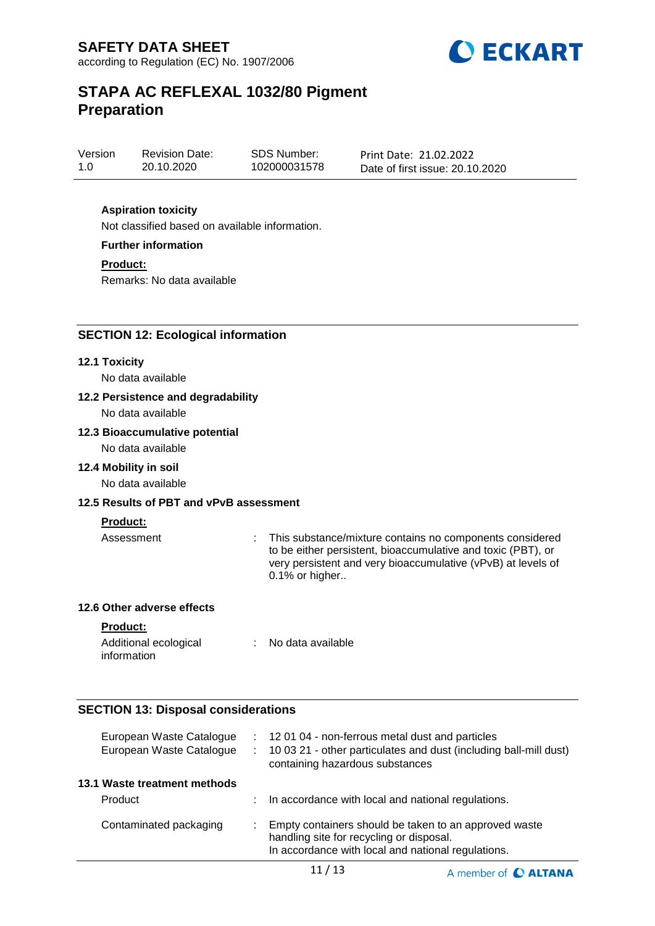

| Version | <b>Revision Date:</b> |
|---------|-----------------------|
| 1.0     | 20.10.2020            |

SDS Number: 102000031578 Print Date: 21.02.2022 Date of first issue: 20.10.2020

# **Aspiration toxicity**

Not classified based on available information.

**Further information**

**Product:**

Remarks: No data available

# **SECTION 12: Ecological information**

#### **12.1 Toxicity**

No data available

#### **12.2 Persistence and degradability**

No data available

#### **12.3 Bioaccumulative potential**

No data available

### **12.4 Mobility in soil**

No data available

# **12.5 Results of PBT and vPvB assessment**

#### **Product:**

Assessment : This substance/mixture contains no components considered to be either persistent, bioaccumulative and toxic (PBT), or very persistent and very bioaccumulative (vPvB) at levels of 0.1% or higher..

A member of C ALTANA

# **12.6 Other adverse effects**

**Product:**

| Additional ecological | No data available |
|-----------------------|-------------------|
| information           |                   |

### **SECTION 13: Disposal considerations**

| European Waste Catalogue<br>European Waste Catalogue | t.<br>÷. | 12 01 04 - non-ferrous metal dust and particles<br>10 03 21 - other particulates and dust (including ball-mill dust)<br>containing hazardous substances |
|------------------------------------------------------|----------|---------------------------------------------------------------------------------------------------------------------------------------------------------|
| 13.1 Waste treatment methods                         |          |                                                                                                                                                         |
| Product                                              |          | In accordance with local and national regulations.                                                                                                      |
| Contaminated packaging                               |          | Empty containers should be taken to an approved waste<br>handling site for recycling or disposal.<br>In accordance with local and national regulations. |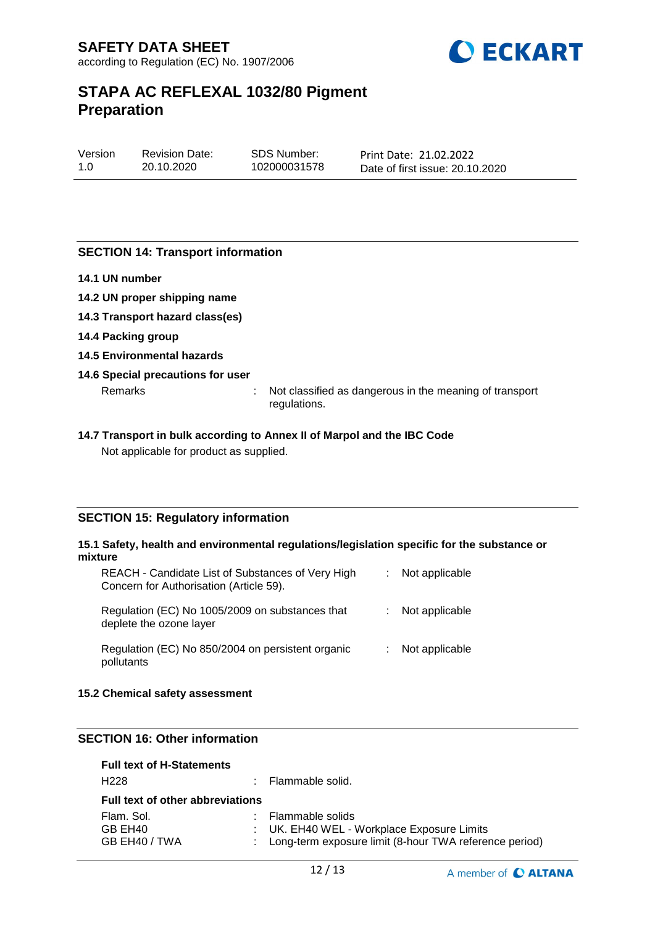

| Version | <b>Revision Date:</b> | SDS Number:  | Print Date: 21.02.2022          |
|---------|-----------------------|--------------|---------------------------------|
| 1.0     | 20.10.2020            | 102000031578 | Date of first issue: 20.10.2020 |

### **SECTION 14: Transport information**

- **14.1 UN number**
- **14.2 UN proper shipping name**
- **14.3 Transport hazard class(es)**
- **14.4 Packing group**
- **14.5 Environmental hazards**

#### **14.6 Special precautions for user**

Remarks : Not classified as dangerous in the meaning of transport regulations.

#### **14.7 Transport in bulk according to Annex II of Marpol and the IBC Code** Not applicable for product as supplied.

#### **SECTION 15: Regulatory information**

#### **15.1 Safety, health and environmental regulations/legislation specific for the substance or mixture**

| REACH - Candidate List of Substances of Very High<br>Concern for Authorisation (Article 59). | : Not applicable |
|----------------------------------------------------------------------------------------------|------------------|
| Regulation (EC) No 1005/2009 on substances that<br>deplete the ozone layer                   | Not applicable   |
| Regulation (EC) No 850/2004 on persistent organic<br>pollutants                              | Not applicable   |

#### **15.2 Chemical safety assessment**

# **SECTION 16: Other information**

| <b>Full text of H-Statements</b>        |  |                                                          |  |  |
|-----------------------------------------|--|----------------------------------------------------------|--|--|
| H <sub>228</sub>                        |  | : Flammable solid.                                       |  |  |
| <b>Full text of other abbreviations</b> |  |                                                          |  |  |
| Flam, Sol.                              |  | : Flammable solids                                       |  |  |
| GB EH40                                 |  | : UK. EH40 WEL - Workplace Exposure Limits               |  |  |
| GB EH40 / TWA                           |  | : Long-term exposure limit (8-hour TWA reference period) |  |  |